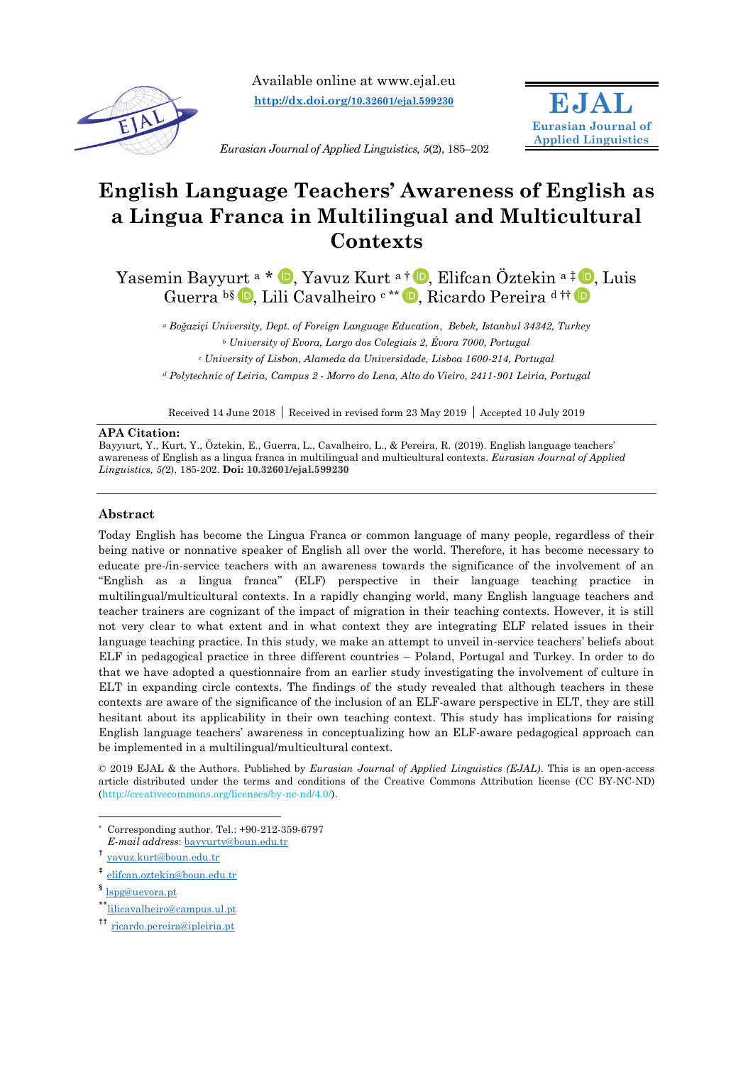

Available online at www.ejal.eu **[http://dx.doi.org/](http://dx.doi.org/10.32601/ejal.599230)10.32601/ejal.599230**



*Eurasian Journal of Applied Linguistics, 5*(2), 185–202

# **English Language Teachers' Awareness of English as a Lingua Franca in Multilingual and Multicultural Contexts**

Yasemin Bayyurt <sup>a \*</sup> D[,](https://orcid.org/0000-0001-5998-3716) Yavuz Kurt <sup>a †</sup> D, Elifcan Öztekin <sup>a‡</sup> D, Luis Guerra <sup>b§</sup> D[,](https://orcid.org/0000-0001-5998-3716) Lili Cavalheiro <sup>c\*\*</sup> D, Ricardo Pereira <sup>d[†](https://orcid.org/0000-0001-5998-3716)†</sup>

*<sup>a</sup> Boğaziçi University, Dept. of Foreign Language Education, Bebek, Istanbul 34342, Turkey <sup>b</sup> University of Evora, Largo dos Colegiais 2, Évora 7000, Portugal <sup>c</sup> University of Lisbon, Alameda da Universidade, Lisboa 1600-214, Portugal <sup>d</sup> Polytechnic of Leiria, Campus 2 - Morro do Lena, Alto do Vieiro, 2411-901 Leiria, Portugal*

Received 14 June 2018 | Received in revised form 23 May 2019 | Accepted 10 July 2019

#### **APA Citation:**

Bayyıurt, Y., Kurt, Y., Öztekin, E., Guerra, L., Cavalheiro, L., & Pereira, R. (2019). English language teachers' awareness of English as a lingua franca in multilingual and multicultural contexts. *Eurasian Journal of Applied Linguistics, 5(*2), 185-202. **Doi: 10.32601/ejal.599230**

#### **Abstract**

Today English has become the Lingua Franca or common language of many people, regardless of their being native or nonnative speaker of English all over the world. Therefore, it has become necessary to educate pre-/in-service teachers with an awareness towards the significance of the involvement of an "English as a lingua franca" (ELF) perspective in their language teaching practice in multilingual/multicultural contexts. In a rapidly changing world, many English language teachers and teacher trainers are cognizant of the impact of migration in their teaching contexts. However, it is still not very clear to what extent and in what context they are integrating ELF related issues in their language teaching practice. In this study, we make an attempt to unveil in-service teachers' beliefs about ELF in pedagogical practice in three different countries – Poland, Portugal and Turkey. In order to do that we have adopted a questionnaire from an earlier study investigating the involvement of culture in ELT in expanding circle contexts. The findings of the study revealed that although teachers in these contexts are aware of the significance of the inclusion of an ELF-aware perspective in ELT, they are still hesitant about its applicability in their own teaching context. This study has implications for raising English language teachers' awareness in conceptualizing how an ELF-aware pedagogical approach can be implemented in a multilingual/multicultural context.

© 2019 EJAL & the Authors. Published by *Eurasian Journal of Applied Linguistics (EJAL)*. This is an open-access article distributed under the terms and conditions of the Creative Commons Attribution license (CC BY-NC-ND) (http://creativecommons.org/licenses/by-nc-nd/4.0/).

 $\overline{a}$ 

 $^*$ [lilicavalheiro@campus.ul.pt](mailto:lilicavalheiro@campus.ul.pt)

<sup>\*</sup> Corresponding author. Tel.: +90-212-359-6797

*E-mail address*: [bayyurty@boun.edu.tr](mailto:bayyurty@boun.edu.tr)

<sup>†</sup> [yavuz.kurt@boun.edu.tr](mailto:yavuz.kurt@boun.edu.tr)

<sup>‡</sup> [elifcan.oztekin@boun.edu.tr](mailto:elifcan.oztekin@boun.edu.tr)

<sup>&</sup>lt;sup>§</sup> [lspg@uevora.pt](mailto:lspg@uevora.pt)

<sup>††</sup> [ricardo.pereira@ipleiria.pt](mailto:ricardo.pereira@ipleiria.pt)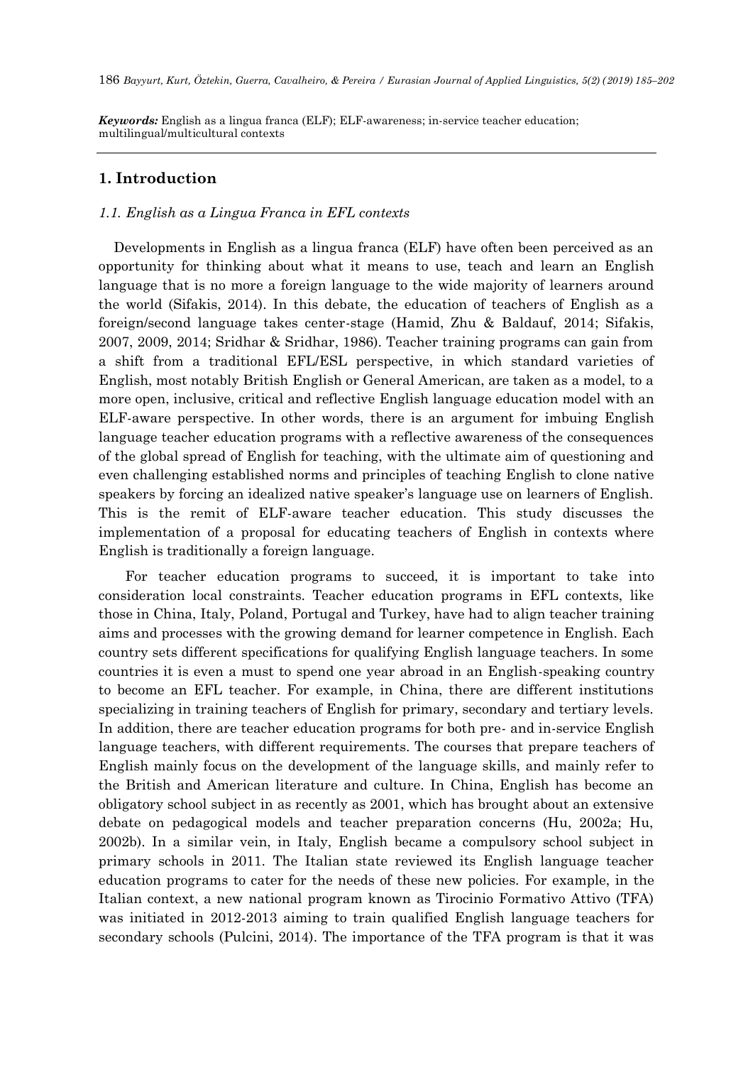*Keywords:* English as a lingua franca (ELF); ELF-awareness; in-service teacher education; multilingual/multicultural contexts

# **1. Introduction**

#### *1.1. English as a Lingua Franca in EFL contexts*

Developments in English as a lingua franca (ELF) have often been perceived as an opportunity for thinking about what it means to use, teach and learn an English language that is no more a foreign language to the wide majority of learners around the world (Sifakis, 2014). In this debate, the education of teachers of English as a foreign/second language takes center-stage (Hamid, Zhu & Baldauf, 2014; Sifakis, 2007, 2009, 2014; Sridhar & Sridhar, 1986). Teacher training programs can gain from a shift from a traditional EFL/ESL perspective, in which standard varieties of English, most notably British English or General American, are taken as a model, to a more open, inclusive, critical and reflective English language education model with an ELF-aware perspective. In other words, there is an argument for imbuing English language teacher education programs with a reflective awareness of the consequences of the global spread of English for teaching, with the ultimate aim of questioning and even challenging established norms and principles of teaching English to clone native speakers by forcing an idealized native speaker's language use on learners of English. This is the remit of ELF-aware teacher education. This study discusses the implementation of a proposal for educating teachers of English in contexts where English is traditionally a foreign language.

 For teacher education programs to succeed, it is important to take into consideration local constraints. Teacher education programs in EFL contexts, like those in China, Italy, Poland, Portugal and Turkey, have had to align teacher training aims and processes with the growing demand for learner competence in English. Each country sets different specifications for qualifying English language teachers. In some countries it is even a must to spend one year abroad in an English-speaking country to become an EFL teacher. For example, in China, there are different institutions specializing in training teachers of English for primary, secondary and tertiary levels. In addition, there are teacher education programs for both pre- and in-service English language teachers, with different requirements. The courses that prepare teachers of English mainly focus on the development of the language skills, and mainly refer to the British and American literature and culture. In China, English has become an obligatory school subject in as recently as 2001, which has brought about an extensive debate on pedagogical models and teacher preparation concerns (Hu, 2002a; Hu, 2002b). In a similar vein, in Italy, English became a compulsory school subject in primary schools in 2011. The Italian state reviewed its English language teacher education programs to cater for the needs of these new policies. For example, in the Italian context, a new national program known as Tirocinio Formativo Attivo (TFA) was initiated in 2012-2013 aiming to train qualified English language teachers for secondary schools (Pulcini, 2014). The importance of the TFA program is that it was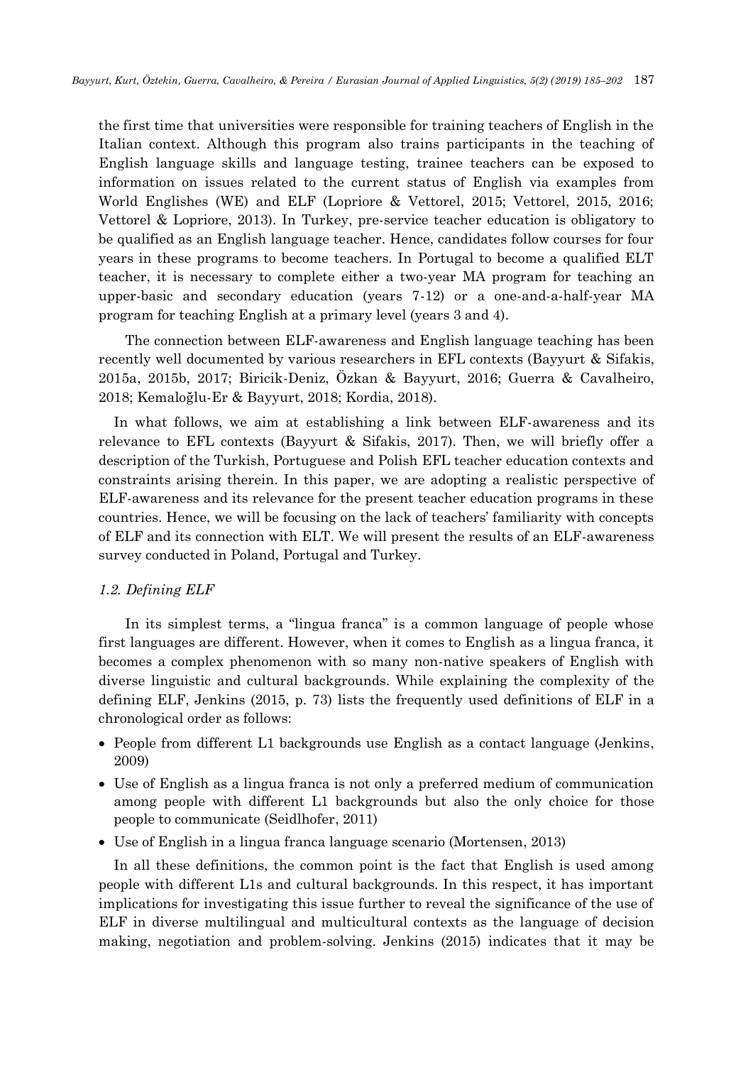the first time that universities were responsible for training teachers of English in the Italian context. Although this program also trains participants in the teaching of English language skills and language testing, trainee teachers can be exposed to information on issues related to the current status of English via examples from World Englishes (WE) and ELF (Lopriore & Vettorel, 2015; Vettorel, 2015, 2016; Vettorel & Lopriore, 2013). In Turkey, pre-service teacher education is obligatory to be qualified as an English language teacher. Hence, candidates follow courses for four years in these programs to become teachers. In Portugal to become a qualified ELT teacher, it is necessary to complete either a two-year MA program for teaching an upper-basic and secondary education (years 7-12) or a one-and-a-half-year MA program for teaching English at a primary level (years 3 and 4).

 The connection between ELF-awareness and English language teaching has been recently well documented by various researchers in EFL contexts (Bayyurt & Sifakis, 2015a, 2015b, 2017; Biricik-Deniz, Özkan & Bayyurt, 2016; Guerra & Cavalheiro, 2018; Kemaloğlu-Er & Bayyurt, 2018; Kordia, 2018).

In what follows, we aim at establishing a link between ELF-awareness and its relevance to EFL contexts (Bayyurt & Sifakis, 2017). Then, we will briefly offer a description of the Turkish, Portuguese and Polish EFL teacher education contexts and constraints arising therein. In this paper, we are adopting a realistic perspective of ELF-awareness and its relevance for the present teacher education programs in these countries. Hence, we will be focusing on the lack of teachers' familiarity with concepts of ELF and its connection with ELT. We will present the results of an ELF-awareness survey conducted in Poland, Portugal and Turkey.

#### *1.2. Defining ELF*

 In its simplest terms, a "lingua franca" is a common language of people whose first languages are different. However, when it comes to English as a lingua franca, it becomes a complex phenomenon with so many non-native speakers of English with diverse linguistic and cultural backgrounds. While explaining the complexity of the defining ELF, Jenkins (2015, p. 73) lists the frequently used definitions of ELF in a chronological order as follows:

- People from different L1 backgrounds use English as a contact language (Jenkins, 2009)
- Use of English as a lingua franca is not only a preferred medium of communication among people with different L1 backgrounds but also the only choice for those people to communicate (Seidlhofer, 2011)
- Use of English in a lingua franca language scenario (Mortensen, 2013)

In all these definitions, the common point is the fact that English is used among people with different L1s and cultural backgrounds. In this respect, it has important implications for investigating this issue further to reveal the significance of the use of ELF in diverse multilingual and multicultural contexts as the language of decision making, negotiation and problem-solving. Jenkins (2015) indicates that it may be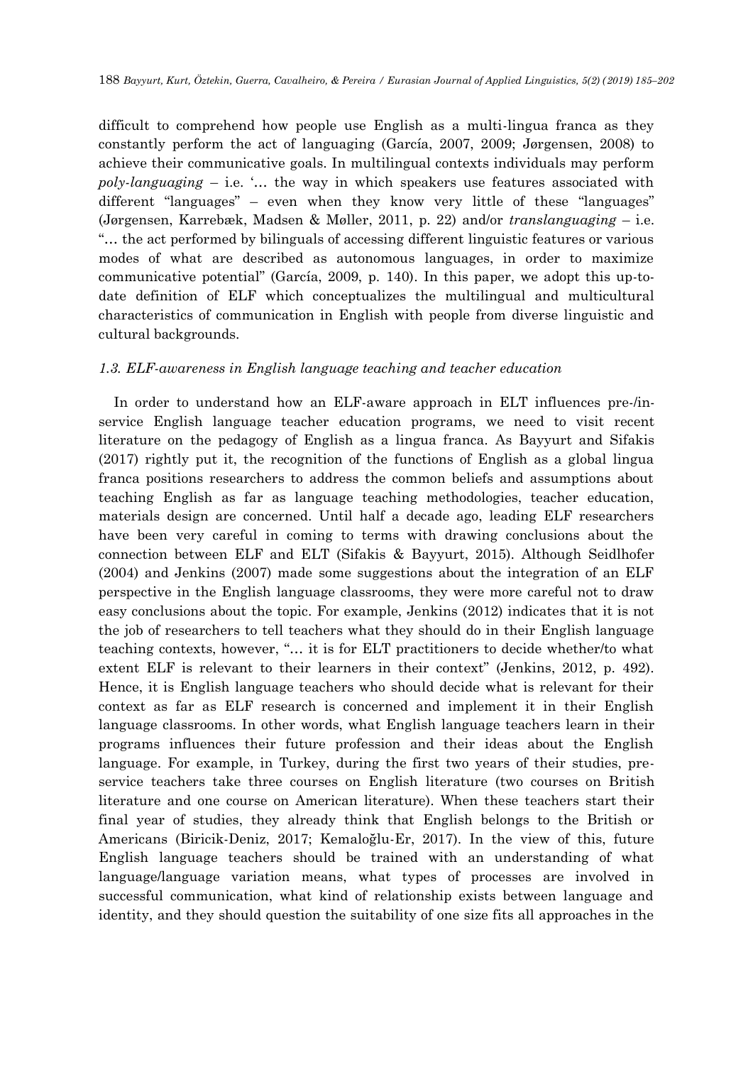difficult to comprehend how people use English as a multi-lingua franca as they constantly perform the act of languaging (García, 2007, 2009; Jørgensen, 2008) to achieve their communicative goals. In multilingual contexts individuals may perform *poly-languaging* – i.e. '… the way in which speakers use features associated with different "languages" – even when they know very little of these "languages" (Jørgensen, Karrebæk, Madsen & Møller, 2011, p. 22) and/or *translanguaging* – i.e. "… the act performed by bilinguals of accessing different linguistic features or various modes of what are described as autonomous languages, in order to maximize communicative potential" (García, 2009, p. 140). In this paper, we adopt this up-todate definition of ELF which conceptualizes the multilingual and multicultural characteristics of communication in English with people from diverse linguistic and cultural backgrounds.

## *1.3. ELF-awareness in English language teaching and teacher education*

In order to understand how an ELF-aware approach in ELT influences pre-/inservice English language teacher education programs, we need to visit recent literature on the pedagogy of English as a lingua franca. As Bayyurt and Sifakis (2017) rightly put it, the recognition of the functions of English as a global lingua franca positions researchers to address the common beliefs and assumptions about teaching English as far as language teaching methodologies, teacher education, materials design are concerned. Until half a decade ago, leading ELF researchers have been very careful in coming to terms with drawing conclusions about the connection between ELF and ELT (Sifakis & Bayyurt, 2015). Although Seidlhofer (2004) and Jenkins (2007) made some suggestions about the integration of an ELF perspective in the English language classrooms, they were more careful not to draw easy conclusions about the topic. For example, Jenkins (2012) indicates that it is not the job of researchers to tell teachers what they should do in their English language teaching contexts, however, "… it is for ELT practitioners to decide whether/to what extent ELF is relevant to their learners in their context" (Jenkins, 2012, p. 492). Hence, it is English language teachers who should decide what is relevant for their context as far as ELF research is concerned and implement it in their English language classrooms. In other words, what English language teachers learn in their programs influences their future profession and their ideas about the English language. For example, in Turkey, during the first two years of their studies, preservice teachers take three courses on English literature (two courses on British literature and one course on American literature). When these teachers start their final year of studies, they already think that English belongs to the British or Americans (Biricik-Deniz, 2017; Kemaloğlu-Er, 2017). In the view of this, future English language teachers should be trained with an understanding of what language/language variation means, what types of processes are involved in successful communication, what kind of relationship exists between language and identity, and they should question the suitability of one size fits all approaches in the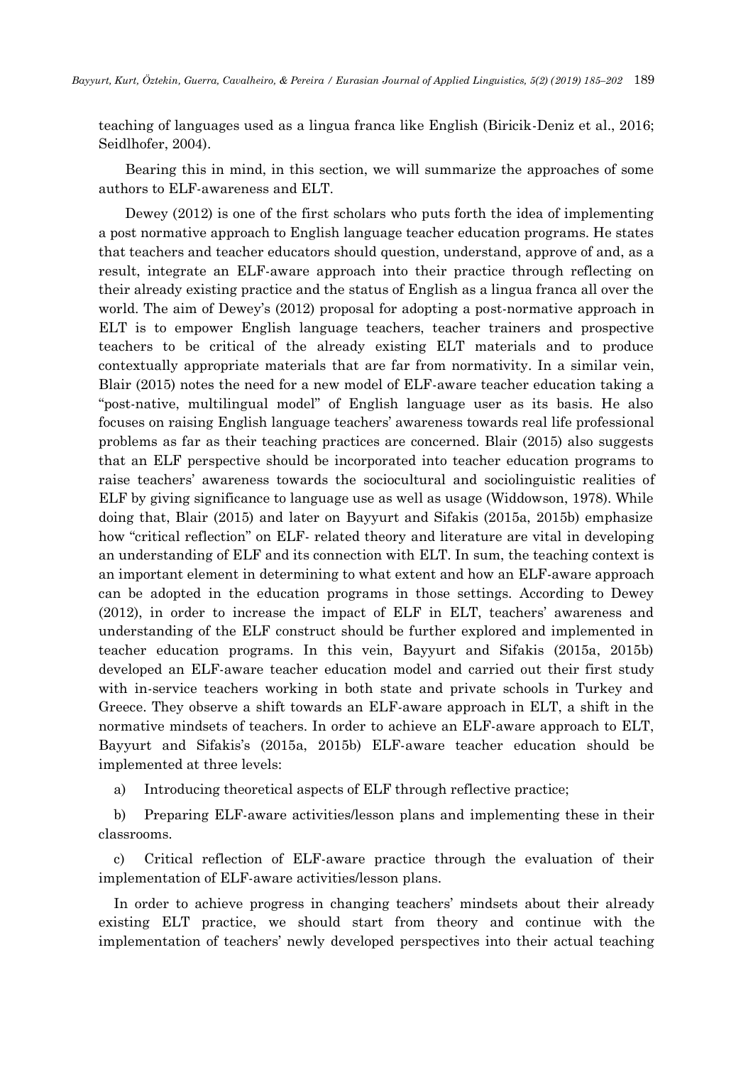teaching of languages used as a lingua franca like English (Biricik-Deniz et al., 2016; Seidlhofer, 2004).

 Bearing this in mind, in this section, we will summarize the approaches of some authors to ELF-awareness and ELT.

 Dewey (2012) is one of the first scholars who puts forth the idea of implementing a post normative approach to English language teacher education programs. He states that teachers and teacher educators should question, understand, approve of and, as a result, integrate an ELF-aware approach into their practice through reflecting on their already existing practice and the status of English as a lingua franca all over the world. The aim of Dewey's (2012) proposal for adopting a post-normative approach in ELT is to empower English language teachers, teacher trainers and prospective teachers to be critical of the already existing ELT materials and to produce contextually appropriate materials that are far from normativity. In a similar vein, Blair (2015) notes the need for a new model of ELF-aware teacher education taking a "post-native, multilingual model" of English language user as its basis. He also focuses on raising English language teachers' awareness towards real life professional problems as far as their teaching practices are concerned. Blair (2015) also suggests that an ELF perspective should be incorporated into teacher education programs to raise teachers' awareness towards the sociocultural and sociolinguistic realities of ELF by giving significance to language use as well as usage (Widdowson, 1978). While doing that, Blair (2015) and later on Bayyurt and Sifakis (2015a, 2015b) emphasize how "critical reflection" on ELF- related theory and literature are vital in developing an understanding of ELF and its connection with ELT. In sum, the teaching context is an important element in determining to what extent and how an ELF-aware approach can be adopted in the education programs in those settings. According to Dewey (2012), in order to increase the impact of ELF in ELT, teachers' awareness and understanding of the ELF construct should be further explored and implemented in teacher education programs. In this vein, Bayyurt and Sifakis (2015a, 2015b) developed an ELF-aware teacher education model and carried out their first study with in-service teachers working in both state and private schools in Turkey and Greece. They observe a shift towards an ELF-aware approach in ELT, a shift in the normative mindsets of teachers. In order to achieve an ELF-aware approach to ELT, Bayyurt and Sifakis's (2015a, 2015b) ELF-aware teacher education should be implemented at three levels:

a) Introducing theoretical aspects of ELF through reflective practice;

b) Preparing ELF-aware activities/lesson plans and implementing these in their classrooms.

c) Critical reflection of ELF-aware practice through the evaluation of their implementation of ELF-aware activities/lesson plans.

In order to achieve progress in changing teachers' mindsets about their already existing ELT practice, we should start from theory and continue with the implementation of teachers' newly developed perspectives into their actual teaching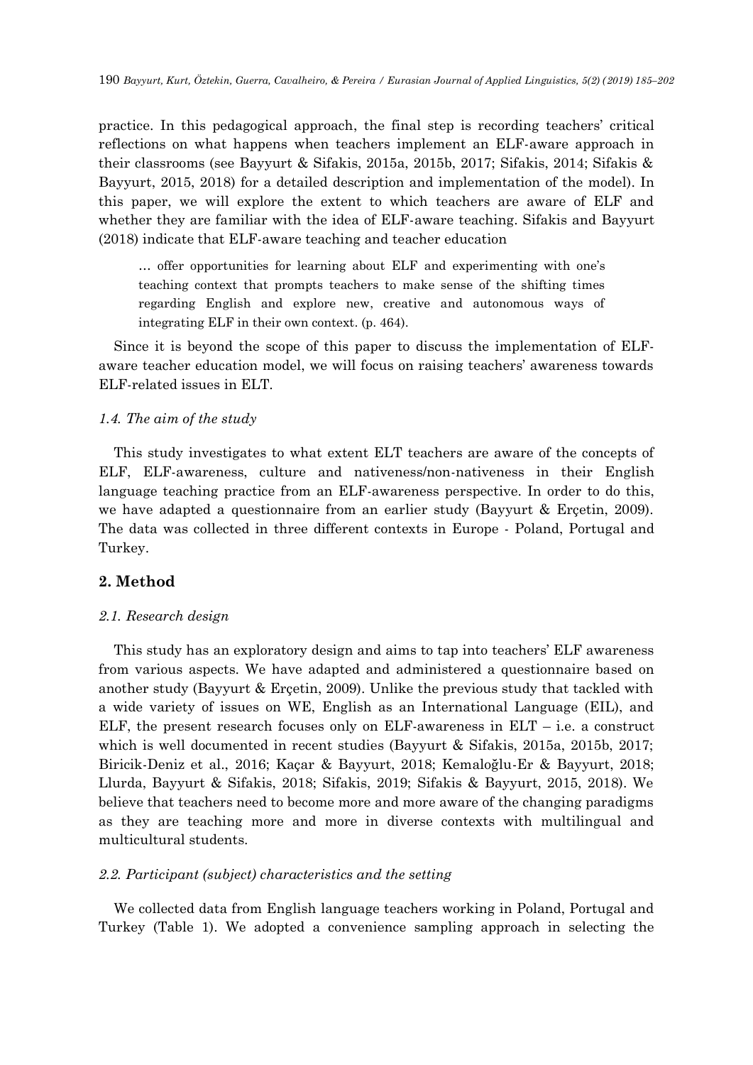practice. In this pedagogical approach, the final step is recording teachers' critical reflections on what happens when teachers implement an ELF-aware approach in their classrooms (see Bayyurt & Sifakis, 2015a, 2015b, 2017; Sifakis, 2014; Sifakis & Bayyurt, 2015, 2018) for a detailed description and implementation of the model). In this paper, we will explore the extent to which teachers are aware of ELF and whether they are familiar with the idea of ELF-aware teaching. Sifakis and Bayyurt (2018) indicate that ELF-aware teaching and teacher education

… offer opportunities for learning about ELF and experimenting with one's teaching context that prompts teachers to make sense of the shifting times regarding English and explore new, creative and autonomous ways of integrating ELF in their own context. (p. 464).

Since it is beyond the scope of this paper to discuss the implementation of ELFaware teacher education model, we will focus on raising teachers' awareness towards ELF-related issues in ELT.

## *1.4. The aim of the study*

This study investigates to what extent ELT teachers are aware of the concepts of ELF, ELF-awareness, culture and nativeness/non-nativeness in their English language teaching practice from an ELF-awareness perspective. In order to do this, we have adapted a questionnaire from an earlier study (Bayyurt & Erçetin, 2009). The data was collected in three different contexts in Europe - Poland, Portugal and Turkey.

## **2. Method**

## *2.1. Research design*

This study has an exploratory design and aims to tap into teachers' ELF awareness from various aspects. We have adapted and administered a questionnaire based on another study (Bayyurt & Erçetin, 2009). Unlike the previous study that tackled with a wide variety of issues on WE, English as an International Language (EIL), and ELF, the present research focuses only on ELF-awareness in  $ELT - i.e.$  a construct which is well documented in recent studies (Bayyurt & Sifakis, 2015a, 2015b, 2017; Biricik-Deniz et al., 2016; Kaçar & Bayyurt, 2018; Kemaloğlu-Er & Bayyurt, 2018; Llurda, Bayyurt & Sifakis, 2018; Sifakis, 2019; Sifakis & Bayyurt, 2015, 2018). We believe that teachers need to become more and more aware of the changing paradigms as they are teaching more and more in diverse contexts with multilingual and multicultural students.

#### *2.2. Participant (subject) characteristics and the setting*

We collected data from English language teachers working in Poland, Portugal and Turkey (Table 1). We adopted a convenience sampling approach in selecting the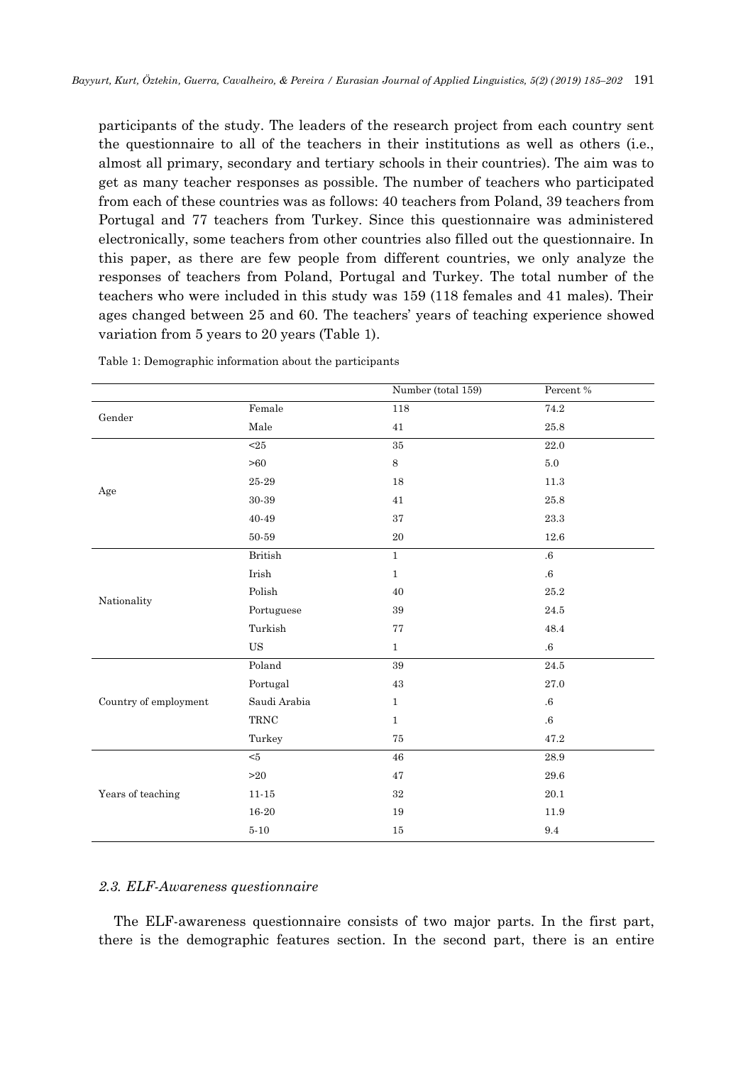participants of the study. The leaders of the research project from each country sent the questionnaire to all of the teachers in their institutions as well as others (i.e., almost all primary, secondary and tertiary schools in their countries). The aim was to get as many teacher responses as possible. The number of teachers who participated from each of these countries was as follows: 40 teachers from Poland, 39 teachers from Portugal and 77 teachers from Turkey. Since this questionnaire was administered electronically, some teachers from other countries also filled out the questionnaire. In this paper, as there are few people from different countries, we only analyze the responses of teachers from Poland, Portugal and Turkey. The total number of the teachers who were included in this study was 159 (118 females and 41 males). Their ages changed between 25 and 60. The teachers' years of teaching experience showed variation from 5 years to 20 years (Table 1).

|                       |                       | Number (total 159) | Percent $\%$      |  |
|-----------------------|-----------------------|--------------------|-------------------|--|
|                       | Female                | 118                | 74.2              |  |
| Gender                | $\rm Male$            | $41\,$             | $25.8\,$          |  |
|                       | $\overline{25}$       | $35\,$             | $\overline{22.0}$ |  |
|                       | >60                   | $\,8\,$            | $5.0\,$           |  |
| Age                   | $25\mbox{-}29$        | $18\,$             | $11.3\,$          |  |
|                       | 30-39                 | 41                 | $25.8\,$          |  |
|                       | $40 - 49$             | 37                 | $23.3\,$          |  |
|                       | $50 - 59$             | $20\,$             | $12.6\,$          |  |
|                       | <b>British</b>        | $\overline{1}$     | $\overline{6}$    |  |
|                       | $_{\rm Irish}$        | $\,1$              | $.6\,$            |  |
| Nationality           | Polish                | 40                 | $25.2\,$          |  |
|                       | Portuguese            | 39                 | 24.5              |  |
|                       | Turkish               | 77                 | 48.4              |  |
|                       | $_{\rm US}$           | $\mathbf{1}$       | $.6\,$            |  |
|                       | Poland                | $39\,$             | 24.5              |  |
| Country of employment | Portugal              | $43\,$             | $27.0\,$          |  |
|                       | Saudi Arabia          | $\mathbf{1}$       | $.6\,$            |  |
|                       | $\operatorname{TRNC}$ | $\mathbf{1}$       | $.6\,$            |  |
|                       | Turkey                | 75                 | $47.2\,$          |  |
|                       | $<\!\!5$              | 46                 | $28.9\,$          |  |
|                       | $>20$                 | 47                 | $29.6\,$          |  |
| Years of teaching     | $11 - 15$             | $32\,$             | $20.1\,$          |  |
|                       | $16-20$               | 19                 | $11.9\,$          |  |
|                       | $5-10\,$              | $15\,$             | $\ \, 9.4$        |  |

Table 1: Demographic information about the participants

#### *2.3. ELF-Awareness questionnaire*

The ELF-awareness questionnaire consists of two major parts. In the first part, there is the demographic features section. In the second part, there is an entire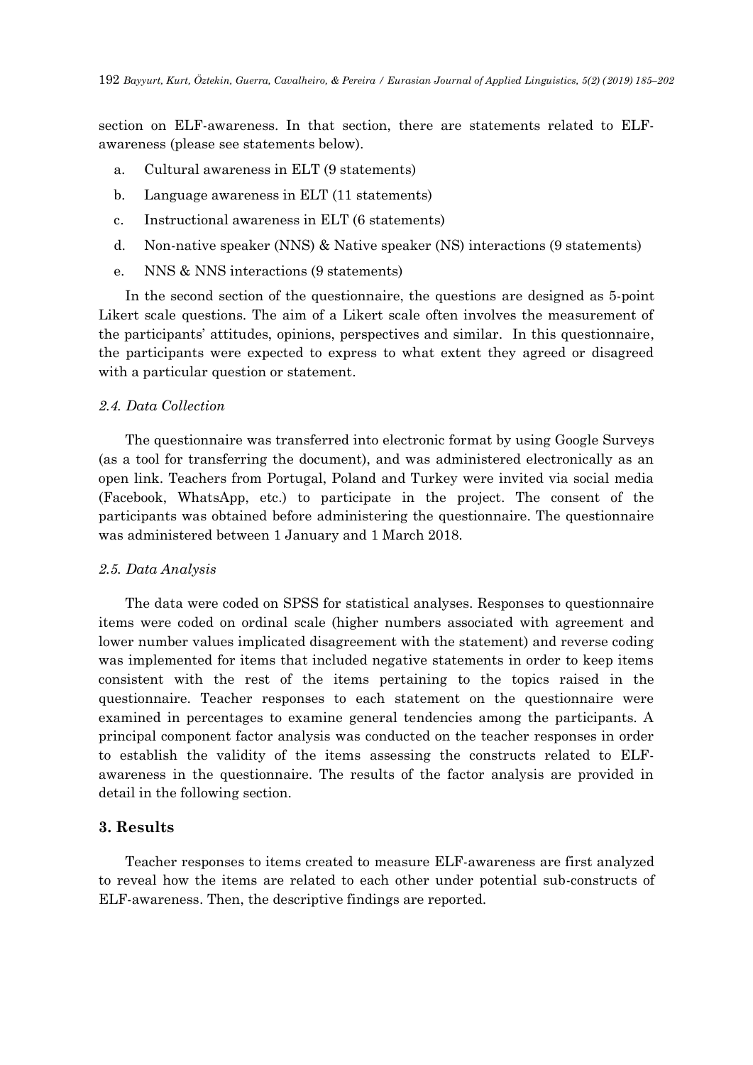section on ELF-awareness. In that section, there are statements related to ELFawareness (please see statements below).

- a. Cultural awareness in ELT (9 statements)
- b. Language awareness in ELT (11 statements)
- c. Instructional awareness in ELT (6 statements)
- d. Non-native speaker (NNS) & Native speaker (NS) interactions (9 statements)
- e. NNS & NNS interactions (9 statements)

 In the second section of the questionnaire, the questions are designed as 5-point Likert scale questions. The aim of a Likert scale often involves the measurement of the participants' attitudes, opinions, perspectives and similar. In this questionnaire, the participants were expected to express to what extent they agreed or disagreed with a particular question or statement.

#### *2.4. Data Collection*

 The questionnaire was transferred into electronic format by using Google Surveys (as a tool for transferring the document), and was administered electronically as an open link. Teachers from Portugal, Poland and Turkey were invited via social media (Facebook, WhatsApp, etc.) to participate in the project. The consent of the participants was obtained before administering the questionnaire. The questionnaire was administered between 1 January and 1 March 2018.

### *2.5. Data Analysis*

 The data were coded on SPSS for statistical analyses. Responses to questionnaire items were coded on ordinal scale (higher numbers associated with agreement and lower number values implicated disagreement with the statement) and reverse coding was implemented for items that included negative statements in order to keep items consistent with the rest of the items pertaining to the topics raised in the questionnaire. Teacher responses to each statement on the questionnaire were examined in percentages to examine general tendencies among the participants. A principal component factor analysis was conducted on the teacher responses in order to establish the validity of the items assessing the constructs related to ELFawareness in the questionnaire. The results of the factor analysis are provided in detail in the following section.

## **3. Results**

 Teacher responses to items created to measure ELF-awareness are first analyzed to reveal how the items are related to each other under potential sub-constructs of ELF-awareness. Then, the descriptive findings are reported.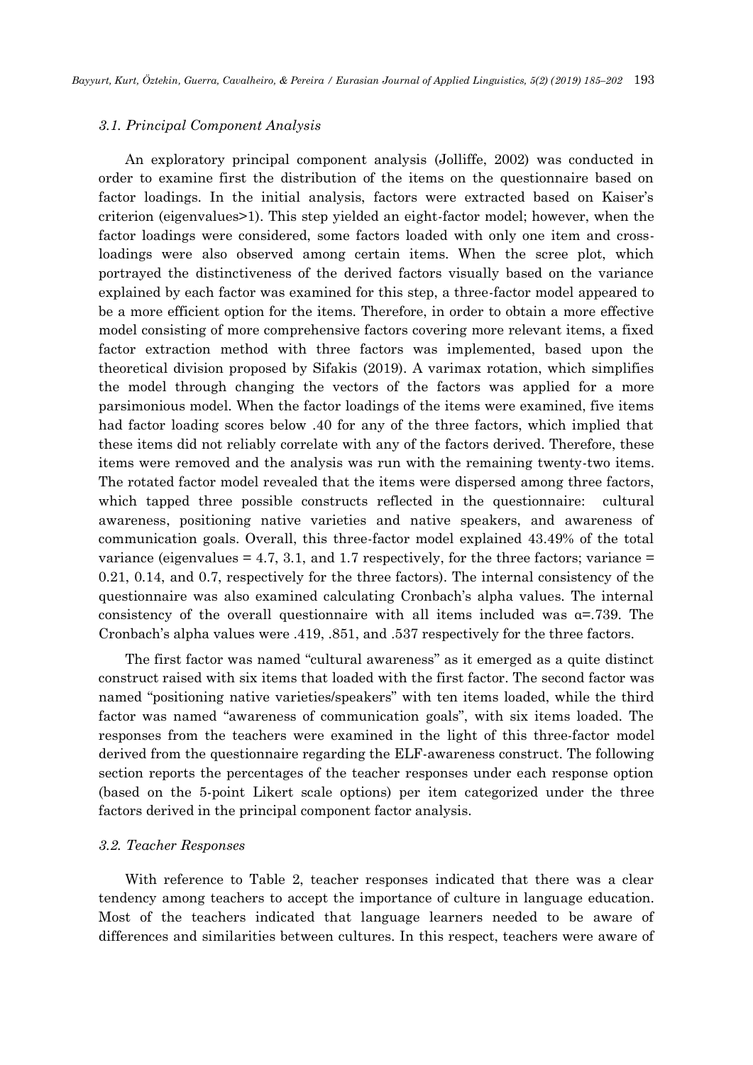#### *3.1. Principal Component Analysis*

 An exploratory principal component analysis (Jolliffe, 2002) was conducted in order to examine first the distribution of the items on the questionnaire based on factor loadings. In the initial analysis, factors were extracted based on Kaiser's criterion (eigenvalues>1). This step yielded an eight-factor model; however, when the factor loadings were considered, some factors loaded with only one item and crossloadings were also observed among certain items. When the scree plot, which portrayed the distinctiveness of the derived factors visually based on the variance explained by each factor was examined for this step, a three-factor model appeared to be a more efficient option for the items. Therefore, in order to obtain a more effective model consisting of more comprehensive factors covering more relevant items, a fixed factor extraction method with three factors was implemented, based upon the theoretical division proposed by Sifakis (2019). A varimax rotation, which simplifies the model through changing the vectors of the factors was applied for a more parsimonious model. When the factor loadings of the items were examined, five items had factor loading scores below .40 for any of the three factors, which implied that these items did not reliably correlate with any of the factors derived. Therefore, these items were removed and the analysis was run with the remaining twenty-two items. The rotated factor model revealed that the items were dispersed among three factors, which tapped three possible constructs reflected in the questionnaire: cultural awareness, positioning native varieties and native speakers, and awareness of communication goals. Overall, this three-factor model explained 43.49% of the total variance (eigenvalues  $= 4.7, 3.1,$  and 1.7 respectively, for the three factors; variance  $=$ 0.21, 0.14, and 0.7, respectively for the three factors). The internal consistency of the questionnaire was also examined calculating Cronbach's alpha values. The internal consistency of the overall questionnaire with all items included was  $\alpha = .739$ . The Cronbach's alpha values were .419, .851, and .537 respectively for the three factors.

 The first factor was named "cultural awareness" as it emerged as a quite distinct construct raised with six items that loaded with the first factor. The second factor was named "positioning native varieties/speakers" with ten items loaded, while the third factor was named "awareness of communication goals", with six items loaded. The responses from the teachers were examined in the light of this three-factor model derived from the questionnaire regarding the ELF-awareness construct. The following section reports the percentages of the teacher responses under each response option (based on the 5-point Likert scale options) per item categorized under the three factors derived in the principal component factor analysis.

## *3.2. Teacher Responses*

 With reference to Table 2, teacher responses indicated that there was a clear tendency among teachers to accept the importance of culture in language education. Most of the teachers indicated that language learners needed to be aware of differences and similarities between cultures. In this respect, teachers were aware of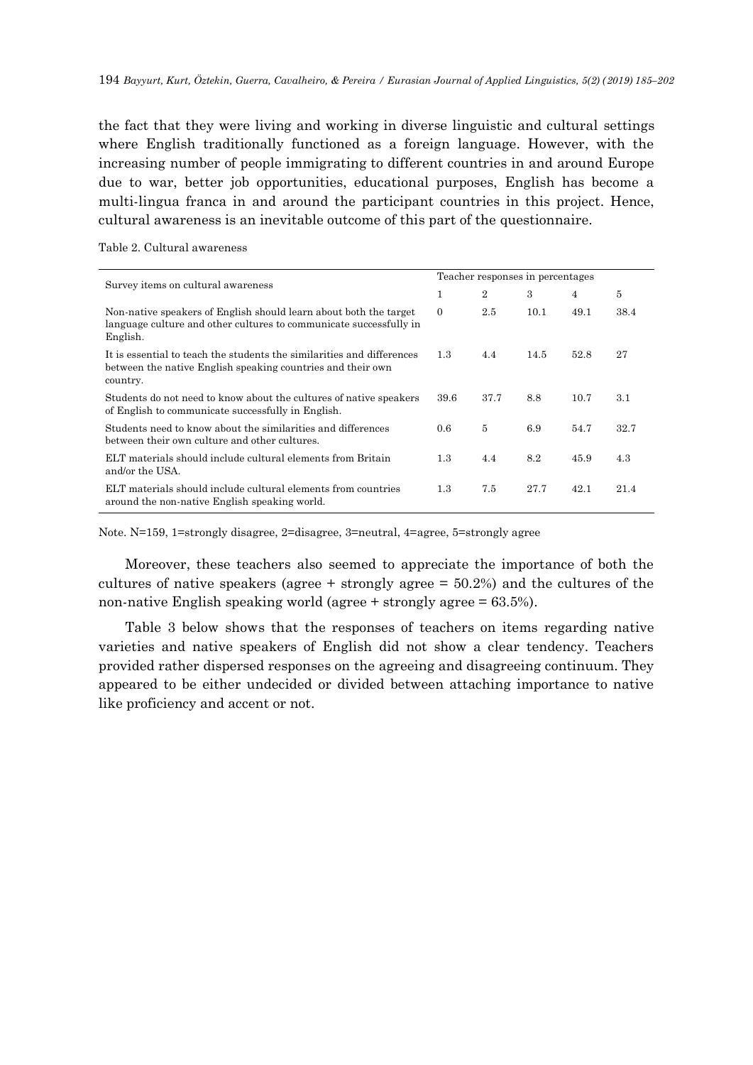the fact that they were living and working in diverse linguistic and cultural settings where English traditionally functioned as a foreign language. However, with the increasing number of people immigrating to different countries in and around Europe due to war, better job opportunities, educational purposes, English has become a multi-lingua franca in and around the participant countries in this project. Hence, cultural awareness is an inevitable outcome of this part of the questionnaire.

| Survey items on cultural awareness                                                                                                                  |          | Teacher responses in percentages |      |      |      |  |  |  |
|-----------------------------------------------------------------------------------------------------------------------------------------------------|----------|----------------------------------|------|------|------|--|--|--|
|                                                                                                                                                     | 1        | 2                                | 3    | 4    | 5    |  |  |  |
| Non-native speakers of English should learn about both the target<br>language culture and other cultures to communicate successfully in<br>English. | $\Omega$ | 2.5                              | 10.1 | 49.1 | 38.4 |  |  |  |
| It is essential to teach the students the similarities and differences<br>between the native English speaking countries and their own<br>country.   | $1.3\,$  | 4.4                              | 14.5 | 52.8 | 27   |  |  |  |
| Students do not need to know about the cultures of native speakers<br>of English to communicate successfully in English.                            | 39.6     | 37.7                             | 8.8  | 10.7 | 3.1  |  |  |  |
| Students need to know about the similarities and differences<br>between their own culture and other cultures.                                       | 0.6      | 5                                | 6.9  | 54.7 | 32.7 |  |  |  |
| ELT materials should include cultural elements from Britain<br>and/or the USA.                                                                      | $1.3\,$  | 4.4                              | 8.2  | 45.9 | 4.3  |  |  |  |
| ELT materials should include cultural elements from countries<br>around the non-native English speaking world.                                      | 1.3      | 7.5                              | 27.7 | 42.1 | 21.4 |  |  |  |

Table 2. Cultural awareness

Note. N=159, 1=strongly disagree, 2=disagree, 3=neutral, 4=agree, 5=strongly agree

 Moreover, these teachers also seemed to appreciate the importance of both the cultures of native speakers (agree  $+$  strongly agree  $=$  50.2%) and the cultures of the non-native English speaking world (agree  $+$  strongly agree  $= 63.5\%$ ).

 Table 3 below shows that the responses of teachers on items regarding native varieties and native speakers of English did not show a clear tendency. Teachers provided rather dispersed responses on the agreeing and disagreeing continuum. They appeared to be either undecided or divided between attaching importance to native like proficiency and accent or not.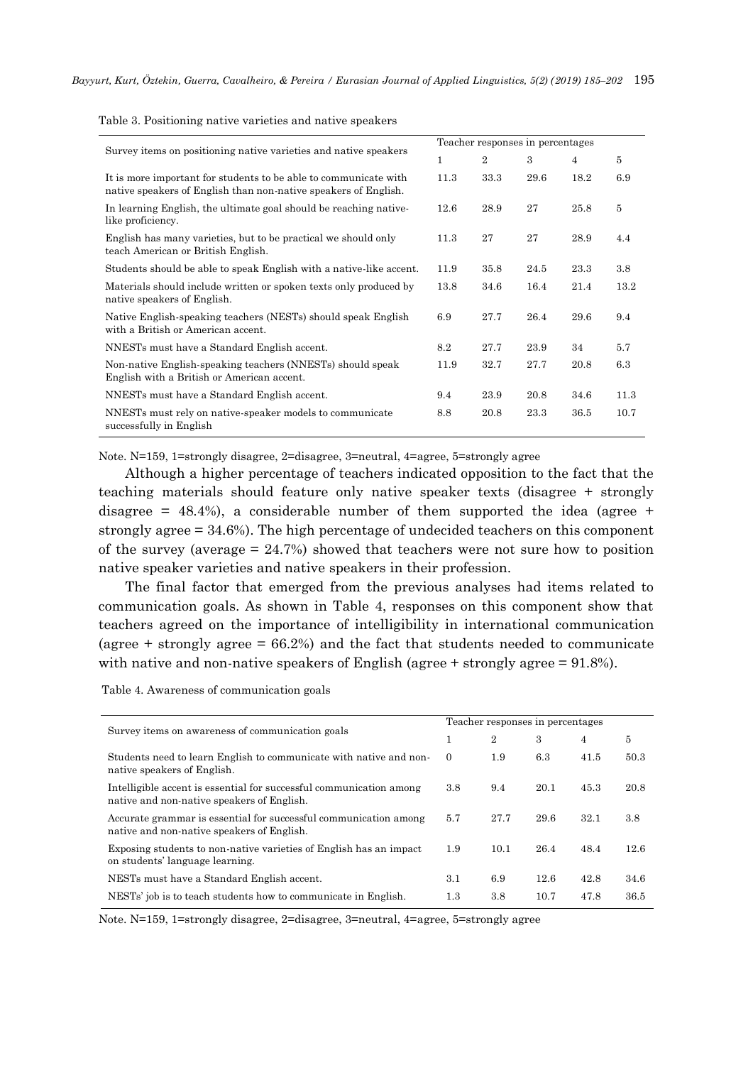| Survey items on positioning native varieties and native speakers                                                                    |      | Teacher responses in percentages |      |      |      |  |  |  |
|-------------------------------------------------------------------------------------------------------------------------------------|------|----------------------------------|------|------|------|--|--|--|
|                                                                                                                                     | 1    | 2                                | 3    | 4    | 5    |  |  |  |
| It is more important for students to be able to communicate with<br>native speakers of English than non-native speakers of English. | 11.3 | 33.3                             | 29.6 | 18.2 | 6.9  |  |  |  |
| In learning English, the ultimate goal should be reaching native-<br>like proficiency.                                              | 12.6 | 28.9                             | 27   | 25.8 | 5    |  |  |  |
| English has many varieties, but to be practical we should only<br>teach American or British English.                                | 11.3 | 27                               | 27   | 28.9 | 4.4  |  |  |  |
| Students should be able to speak English with a native-like accent.                                                                 | 11.9 | 35.8                             | 24.5 | 23.3 | 3.8  |  |  |  |
| Materials should include written or spoken texts only produced by<br>native speakers of English.                                    | 13.8 | 34.6                             | 16.4 | 21.4 | 13.2 |  |  |  |
| Native English-speaking teachers (NESTs) should speak English<br>with a British or American accent.                                 | 6.9  | 27.7                             | 26.4 | 29.6 | 9.4  |  |  |  |
| NNESTs must have a Standard English accent.                                                                                         | 8.2  | 27.7                             | 23.9 | 34   | 5.7  |  |  |  |
| Non-native English-speaking teachers (NNESTs) should speak<br>English with a British or American accent.                            | 11.9 | 32.7                             | 27.7 | 20.8 | 6.3  |  |  |  |
| NNESTs must have a Standard English accent.                                                                                         | 9.4  | 23.9                             | 20.8 | 34.6 | 11.3 |  |  |  |
| NNESTs must rely on native-speaker models to communicate<br>successfully in English                                                 | 8.8  | 20.8                             | 23.3 | 36.5 | 10.7 |  |  |  |

Table 3. Positioning native varieties and native speakers

Note. N=159, 1=strongly disagree, 2=disagree, 3=neutral, 4=agree, 5=strongly agree

 Although a higher percentage of teachers indicated opposition to the fact that the teaching materials should feature only native speaker texts (disagree + strongly disagree =  $48.4\%$ ), a considerable number of them supported the idea (agree + strongly agree = 34.6%). The high percentage of undecided teachers on this component of the survey (average  $= 24.7\%$ ) showed that teachers were not sure how to position native speaker varieties and native speakers in their profession.

 The final factor that emerged from the previous analyses had items related to communication goals. As shown in Table 4, responses on this component show that teachers agreed on the importance of intelligibility in international communication (agree  $+$  strongly agree  $= 66.2\%$ ) and the fact that students needed to communicate with native and non-native speakers of English (agree + strongly agree = 91.8%).

Table 4. Awareness of communication goals

| Survey items on awareness of communication goals                                                                  |          | Teacher responses in percentages |      |                |      |  |  |
|-------------------------------------------------------------------------------------------------------------------|----------|----------------------------------|------|----------------|------|--|--|
|                                                                                                                   |          | 2                                | 3    | $\overline{4}$ | 5    |  |  |
| Students need to learn English to communicate with native and non-<br>native speakers of English.                 | $\theta$ | 1.9                              | 6.3  | 41.5           | 50.3 |  |  |
| Intelligible accent is essential for successful communication among<br>native and non-native speakers of English. | 3.8      | 9.4                              | 20.1 | 45.3           | 20.8 |  |  |
| Accurate grammar is essential for successful communication among<br>native and non-native speakers of English.    | 5.7      | 27.7                             | 29.6 | 32.1           | 3.8  |  |  |
| Exposing students to non-native varieties of English has an impact<br>on students' language learning.             | 1.9      | 10.1                             | 26.4 | 48.4           | 12.6 |  |  |
| NESTs must have a Standard English accent.                                                                        | 3.1      | 6.9                              | 12.6 | 42.8           | 34.6 |  |  |
| NESTs' job is to teach students how to communicate in English.                                                    | $1.3\,$  | 3.8                              | 10.7 | 47.8           | 36.5 |  |  |

Note. N=159, 1=strongly disagree, 2=disagree, 3=neutral, 4=agree, 5=strongly agree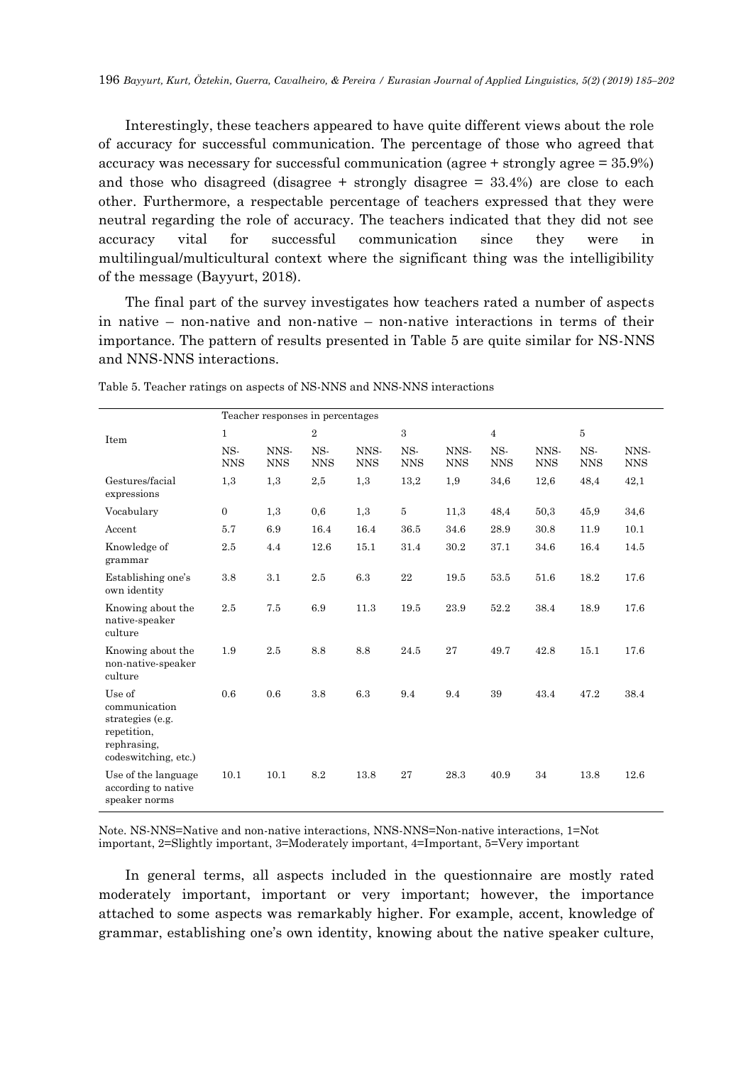Interestingly, these teachers appeared to have quite different views about the role of accuracy for successful communication. The percentage of those who agreed that accuracy was necessary for successful communication (agree + strongly agree = 35.9%) and those who disagreed (disagree  $+$  strongly disagree  $=$  33.4%) are close to each other. Furthermore, a respectable percentage of teachers expressed that they were neutral regarding the role of accuracy. The teachers indicated that they did not see accuracy vital for successful communication since they were in multilingual/multicultural context where the significant thing was the intelligibility of the message (Bayyurt, 2018).

 The final part of the survey investigates how teachers rated a number of aspects in native – non-native and non-native – non-native interactions in terms of their importance. The pattern of results presented in Table 5 are quite similar for NS-NNS and NNS-NNS interactions.

|                                                                                                   | Teacher responses in percentages |                    |                   |                    |                   |                    |                   |                    |                   |                    |
|---------------------------------------------------------------------------------------------------|----------------------------------|--------------------|-------------------|--------------------|-------------------|--------------------|-------------------|--------------------|-------------------|--------------------|
| Item                                                                                              | $\mathbf{1}$                     |                    | $\overline{2}$    |                    | 3                 |                    | $\overline{4}$    |                    | $\bf 5$           |                    |
|                                                                                                   | NS-<br><b>NNS</b>                | NNS-<br><b>NNS</b> | NS-<br><b>NNS</b> | NNS-<br><b>NNS</b> | NS-<br><b>NNS</b> | NNS-<br><b>NNS</b> | NS-<br><b>NNS</b> | NNS-<br><b>NNS</b> | NS-<br><b>NNS</b> | NNS-<br><b>NNS</b> |
| Gestures/facial<br>expressions                                                                    | 1,3                              | 1,3                | 2,5               | 1,3                | 13,2              | 1,9                | 34,6              | 12,6               | 48,4              | 42,1               |
| Vocabulary                                                                                        | $\mathbf{0}$                     | 1,3                | 0,6               | 1,3                | 5                 | 11,3               | 48,4              | 50,3               | 45,9              | 34,6               |
| Accent                                                                                            | 5.7                              | 6.9                | 16.4              | 16.4               | 36.5              | 34.6               | 28.9              | 30.8               | 11.9              | 10.1               |
| Knowledge of<br>grammar                                                                           | 2.5                              | 4.4                | 12.6              | 15.1               | 31.4              | 30.2               | 37.1              | 34.6               | 16.4              | 14.5               |
| Establishing one's<br>own identity                                                                | 3.8                              | 3.1                | 2.5               | 6.3                | $\bf{22}$         | 19.5               | 53.5              | 51.6               | 18.2              | 17.6               |
| Knowing about the<br>native-speaker<br>culture                                                    | 2.5                              | 7.5                | 6.9               | 11.3               | 19.5              | 23.9               | 52.2              | 38.4               | 18.9              | 17.6               |
| Knowing about the<br>non-native-speaker<br>culture                                                | 1.9                              | 2.5                | 8.8               | 8.8                | 24.5              | 27                 | 49.7              | 42.8               | 15.1              | 17.6               |
| Use of<br>communication<br>strategies (e.g.<br>repetition,<br>rephrasing,<br>codeswitching, etc.) | 0.6                              | 0.6                | 3.8               | 6.3                | 9.4               | 9.4                | 39                | 43.4               | 47.2              | 38.4               |
| Use of the language<br>according to native<br>speaker norms                                       | 10.1                             | 10.1               | 8.2               | 13.8               | 27                | 28.3               | 40.9              | 34                 | 13.8              | 12.6               |

Table 5. Teacher ratings on aspects of NS-NNS and NNS-NNS interactions

Note. NS-NNS=Native and non-native interactions, NNS-NNS=Non-native interactions, 1=Not important, 2=Slightly important, 3=Moderately important, 4=Important, 5=Very important

 In general terms, all aspects included in the questionnaire are mostly rated moderately important, important or very important; however, the importance attached to some aspects was remarkably higher. For example, accent, knowledge of grammar, establishing one's own identity, knowing about the native speaker culture,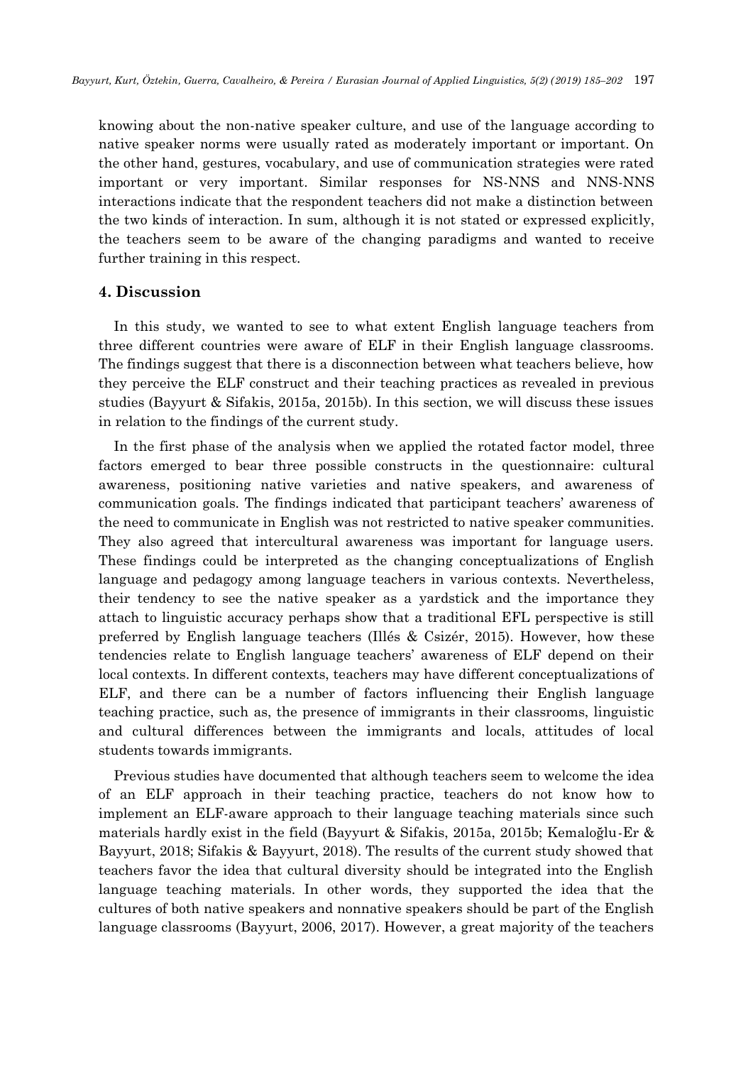knowing about the non-native speaker culture, and use of the language according to native speaker norms were usually rated as moderately important or important. On the other hand, gestures, vocabulary, and use of communication strategies were rated important or very important. Similar responses for NS-NNS and NNS-NNS interactions indicate that the respondent teachers did not make a distinction between the two kinds of interaction. In sum, although it is not stated or expressed explicitly, the teachers seem to be aware of the changing paradigms and wanted to receive further training in this respect.

# **4. Discussion**

In this study, we wanted to see to what extent English language teachers from three different countries were aware of ELF in their English language classrooms. The findings suggest that there is a disconnection between what teachers believe, how they perceive the ELF construct and their teaching practices as revealed in previous studies (Bayyurt & Sifakis, 2015a, 2015b). In this section, we will discuss these issues in relation to the findings of the current study.

In the first phase of the analysis when we applied the rotated factor model, three factors emerged to bear three possible constructs in the questionnaire: cultural awareness, positioning native varieties and native speakers, and awareness of communication goals. The findings indicated that participant teachers' awareness of the need to communicate in English was not restricted to native speaker communities. They also agreed that intercultural awareness was important for language users. These findings could be interpreted as the changing conceptualizations of English language and pedagogy among language teachers in various contexts. Nevertheless, their tendency to see the native speaker as a yardstick and the importance they attach to linguistic accuracy perhaps show that a traditional EFL perspective is still preferred by English language teachers (Illés & Csizér, 2015). However, how these tendencies relate to English language teachers' awareness of ELF depend on their local contexts. In different contexts, teachers may have different conceptualizations of ELF, and there can be a number of factors influencing their English language teaching practice, such as, the presence of immigrants in their classrooms, linguistic and cultural differences between the immigrants and locals, attitudes of local students towards immigrants.

Previous studies have documented that although teachers seem to welcome the idea of an ELF approach in their teaching practice, teachers do not know how to implement an ELF-aware approach to their language teaching materials since such materials hardly exist in the field (Bayyurt & Sifakis, 2015a, 2015b; Kemaloğlu-Er & Bayyurt, 2018; Sifakis & Bayyurt, 2018). The results of the current study showed that teachers favor the idea that cultural diversity should be integrated into the English language teaching materials. In other words, they supported the idea that the cultures of both native speakers and nonnative speakers should be part of the English language classrooms (Bayyurt, 2006, 2017). However, a great majority of the teachers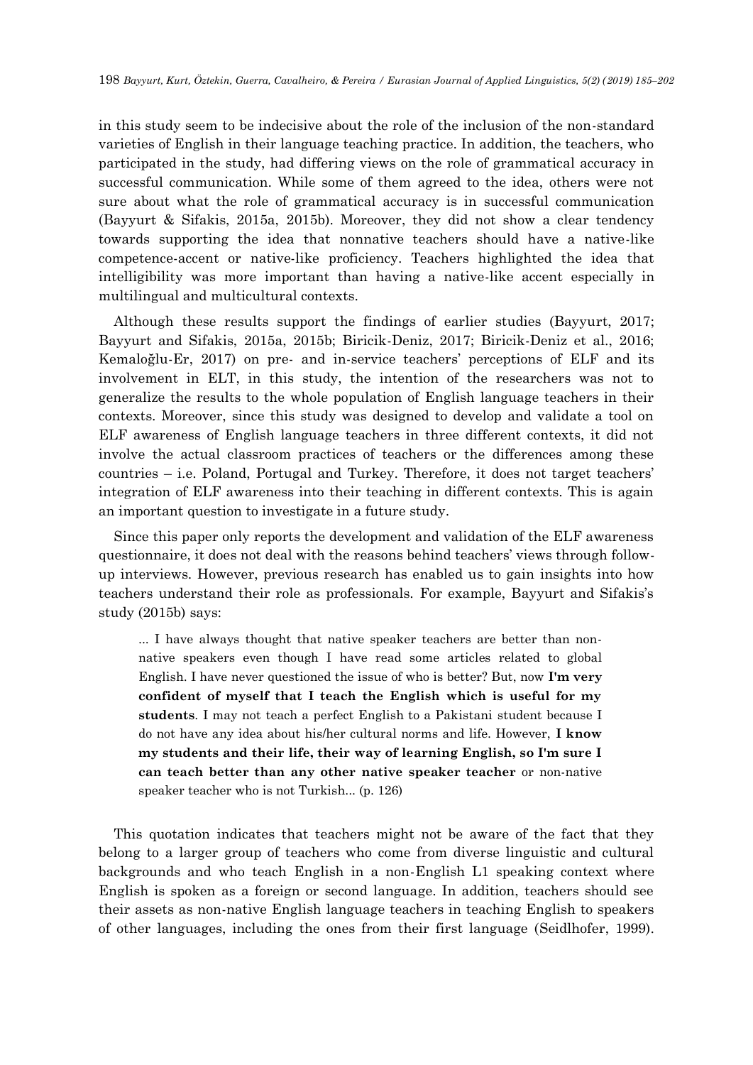in this study seem to be indecisive about the role of the inclusion of the non-standard varieties of English in their language teaching practice. In addition, the teachers, who participated in the study, had differing views on the role of grammatical accuracy in successful communication. While some of them agreed to the idea, others were not sure about what the role of grammatical accuracy is in successful communication (Bayyurt & Sifakis, 2015a, 2015b). Moreover, they did not show a clear tendency towards supporting the idea that nonnative teachers should have a native-like competence-accent or native-like proficiency. Teachers highlighted the idea that intelligibility was more important than having a native-like accent especially in multilingual and multicultural contexts.

Although these results support the findings of earlier studies (Bayyurt, 2017; Bayyurt and Sifakis, 2015a, 2015b; Biricik-Deniz, 2017; Biricik-Deniz et al., 2016; Kemaloğlu-Er, 2017) on pre- and in-service teachers' perceptions of ELF and its involvement in ELT, in this study, the intention of the researchers was not to generalize the results to the whole population of English language teachers in their contexts. Moreover, since this study was designed to develop and validate a tool on ELF awareness of English language teachers in three different contexts, it did not involve the actual classroom practices of teachers or the differences among these countries – i.e. Poland, Portugal and Turkey. Therefore, it does not target teachers' integration of ELF awareness into their teaching in different contexts. This is again an important question to investigate in a future study.

Since this paper only reports the development and validation of the ELF awareness questionnaire, it does not deal with the reasons behind teachers' views through followup interviews. However, previous research has enabled us to gain insights into how teachers understand their role as professionals. For example, Bayyurt and Sifakis's study (2015b) says:

... I have always thought that native speaker teachers are better than nonnative speakers even though I have read some articles related to global English. I have never questioned the issue of who is better? But, now **I'm very confident of myself that I teach the English which is useful for my students**. I may not teach a perfect English to a Pakistani student because I do not have any idea about his/her cultural norms and life. However, **I know my students and their life, their way of learning English, so I'm sure I can teach better than any other native speaker teacher** or non-native speaker teacher who is not Turkish... (p. 126)

This quotation indicates that teachers might not be aware of the fact that they belong to a larger group of teachers who come from diverse linguistic and cultural backgrounds and who teach English in a non-English L1 speaking context where English is spoken as a foreign or second language. In addition, teachers should see their assets as non-native English language teachers in teaching English to speakers of other languages, including the ones from their first language (Seidlhofer, 1999).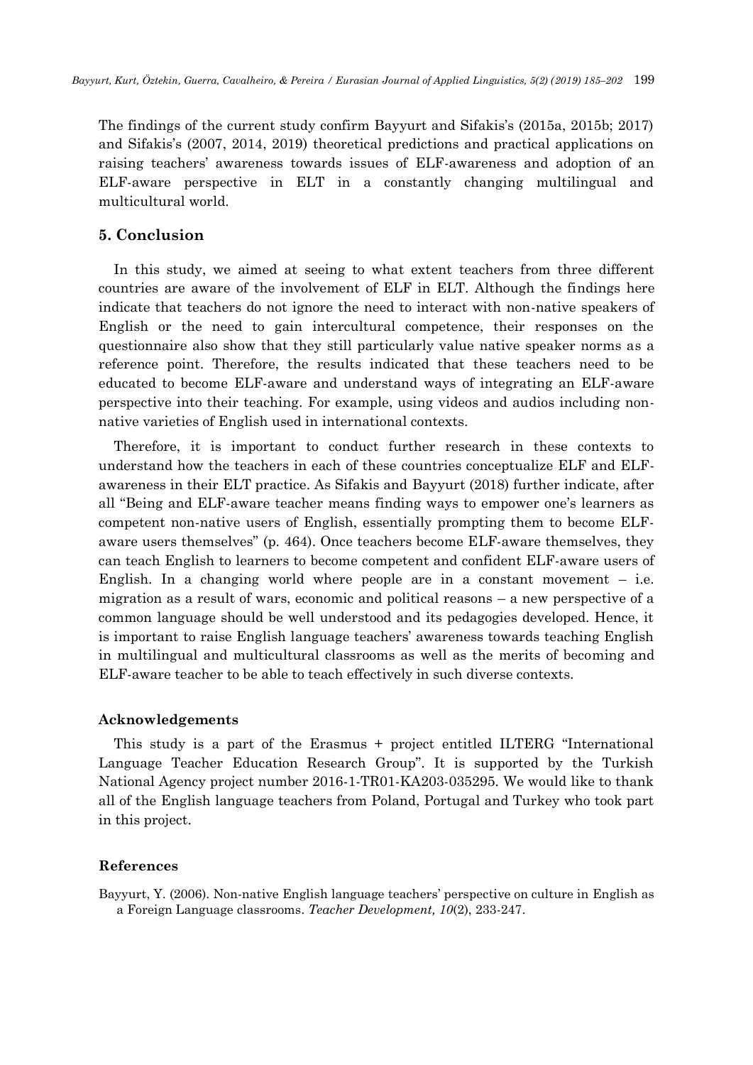The findings of the current study confirm Bayyurt and Sifakis's (2015a, 2015b; 2017) and Sifakis's (2007, 2014, 2019) theoretical predictions and practical applications on raising teachers' awareness towards issues of ELF-awareness and adoption of an ELF-aware perspective in ELT in a constantly changing multilingual and multicultural world.

## **5. Conclusion**

In this study, we aimed at seeing to what extent teachers from three different countries are aware of the involvement of ELF in ELT. Although the findings here indicate that teachers do not ignore the need to interact with non-native speakers of English or the need to gain intercultural competence, their responses on the questionnaire also show that they still particularly value native speaker norms as a reference point. Therefore, the results indicated that these teachers need to be educated to become ELF-aware and understand ways of integrating an ELF-aware perspective into their teaching. For example, using videos and audios including nonnative varieties of English used in international contexts.

Therefore, it is important to conduct further research in these contexts to understand how the teachers in each of these countries conceptualize ELF and ELFawareness in their ELT practice. As Sifakis and Bayyurt (2018) further indicate, after all "Being and ELF-aware teacher means finding ways to empower one's learners as competent non-native users of English, essentially prompting them to become ELFaware users themselves" (p. 464). Once teachers become ELF-aware themselves, they can teach English to learners to become competent and confident ELF-aware users of English. In a changing world where people are in a constant movement  $-$  i.e. migration as a result of wars, economic and political reasons – a new perspective of a common language should be well understood and its pedagogies developed. Hence, it is important to raise English language teachers' awareness towards teaching English in multilingual and multicultural classrooms as well as the merits of becoming and ELF-aware teacher to be able to teach effectively in such diverse contexts.

#### **Acknowledgements**

This study is a part of the Erasmus + project entitled ILTERG "International Language Teacher Education Research Group". It is supported by the Turkish National Agency project number 2016-1-TR01-KA203-035295. We would like to thank all of the English language teachers from Poland, Portugal and Turkey who took part in this project.

#### **References**

Bayyurt, Y. (2006). Non-native English language teachers' perspective on culture in English as a Foreign Language classrooms. *Teacher Development, 10*(2), 233-247.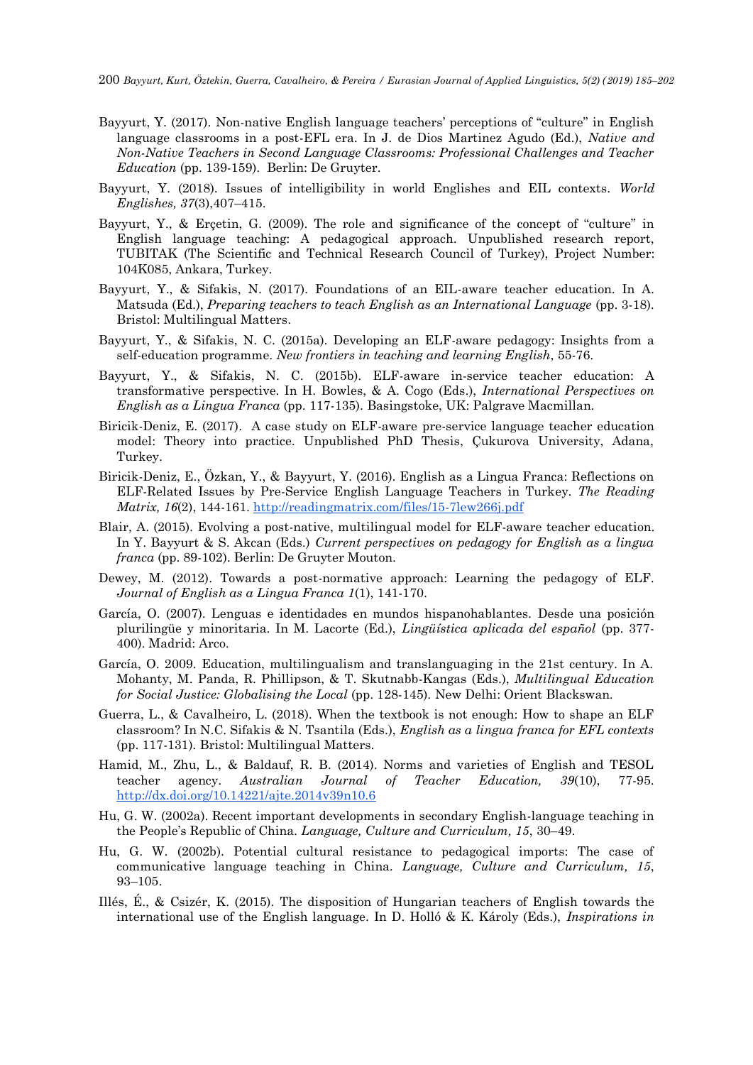- Bayyurt, Y. (2017). Non-native English language teachers' perceptions of "culture" in English language classrooms in a post-EFL era. In J. de Dios Martinez Agudo (Ed.), *Native and Non-Native Teachers in Second Language Classrooms: Professional Challenges and Teacher Education* (pp. 139-159). Berlin: De Gruyter.
- Bayyurt, Y. (2018). Issues of intelligibility in world Englishes and EIL contexts. *World Englishes, 37*(3),407–415.
- Bayyurt, Y., & Erçetin, G. (2009). The role and significance of the concept of "culture" in English language teaching: A pedagogical approach. Unpublished research report, TUBITAK (The Scientific and Technical Research Council of Turkey), Project Number: 104K085, Ankara, Turkey.
- Bayyurt, Y., & Sifakis, N. (2017). Foundations of an EIL-aware teacher education. In A. Matsuda (Ed.), *Preparing teachers to teach English as an International Language* (pp. 3-18). Bristol: Multilingual Matters.
- Bayyurt, Y., & Sifakis, N. C. (2015a). Developing an ELF-aware pedagogy: Insights from a self-education programme. *New frontiers in teaching and learning English*, 55-76.
- Bayyurt, Y., & Sifakis, N. C. (2015b). ELF-aware in-service teacher education: A transformative perspective. In H. Bowles, & A. Cogo (Eds.), *International Perspectives on English as a Lingua Franca* (pp. 117-135). Basingstoke, UK: Palgrave Macmillan.
- Biricik-Deniz, E. (2017). A case study on ELF-aware pre-service language teacher education model: Theory into practice. Unpublished PhD Thesis, Çukurova University, Adana, Turkey.
- Biricik-Deniz, E., Özkan, Y., & Bayyurt, Y. (2016). English as a Lingua Franca: Reflections on ELF-Related Issues by Pre-Service English Language Teachers in Turkey. *The Reading Matrix, 16*(2), 144-161.<http://readingmatrix.com/files/15-7lew266j.pdf>
- Blair, A. (2015). [Evolving a post-native, multilingual model for ELF-aware teacher education.](http://sro.sussex.ac.uk/46761/) In Y. Bayyurt & S. Akcan (Eds.) *Current perspectives on pedagogy for English as a lingua franca* (pp. 89-102). Berlin: De Gruyter Mouton.
- Dewey, M. (2012). Towards a post-normative approach: Learning the pedagogy of ELF. *Journal of English as a Lingua Franca 1*(1), 141-170.
- García, O. (2007). Lenguas e identidades en mundos hispanohablantes. Desde una posición plurilingüe y minoritaria. In M. Lacorte (Ed.), *Lingüística aplicada del español* (pp. 377- 400). Madrid: Arco.
- García, O. 2009. Education, multilingualism and translanguaging in the 21st century. In A. Mohanty, M. Panda, R. Phillipson, & T. Skutnabb-Kangas (Eds.), *Multilingual Education for Social Justice: Globalising the Local* (pp. 128-145). New Delhi: Orient Blackswan.
- Guerra, L., & Cavalheiro, L. (2018). When the textbook is not enough: How to shape an ELF classroom? In N.C. Sifakis & N. Tsantila (Eds.), *English as a lingua franca for EFL contexts*  (pp. 117-131)*.* Bristol: Multilingual Matters.
- Hamid, M., Zhu, L., & Baldauf, R. B. (2014). Norms and varieties of English and TESOL teacher agency. *Australian Journal of Teacher Education, 39*(10), 77-95. <http://dx.doi.org/10.14221/ajte.2014v39n10.6>
- Hu, G. W. (2002a). Recent important developments in secondary English-language teaching in the People's Republic of China. *Language, Culture and Curriculum, 15*, 30–49.
- Hu, G. W. (2002b). Potential cultural resistance to pedagogical imports: The case of communicative language teaching in China. *Language, Culture and Curriculum, 15*, 93–105.
- Illés, É., & Csizér, K. (2015). The disposition of Hungarian teachers of English towards the international use of the English language. In D. Holló & K. Károly (Eds.), *Inspirations in*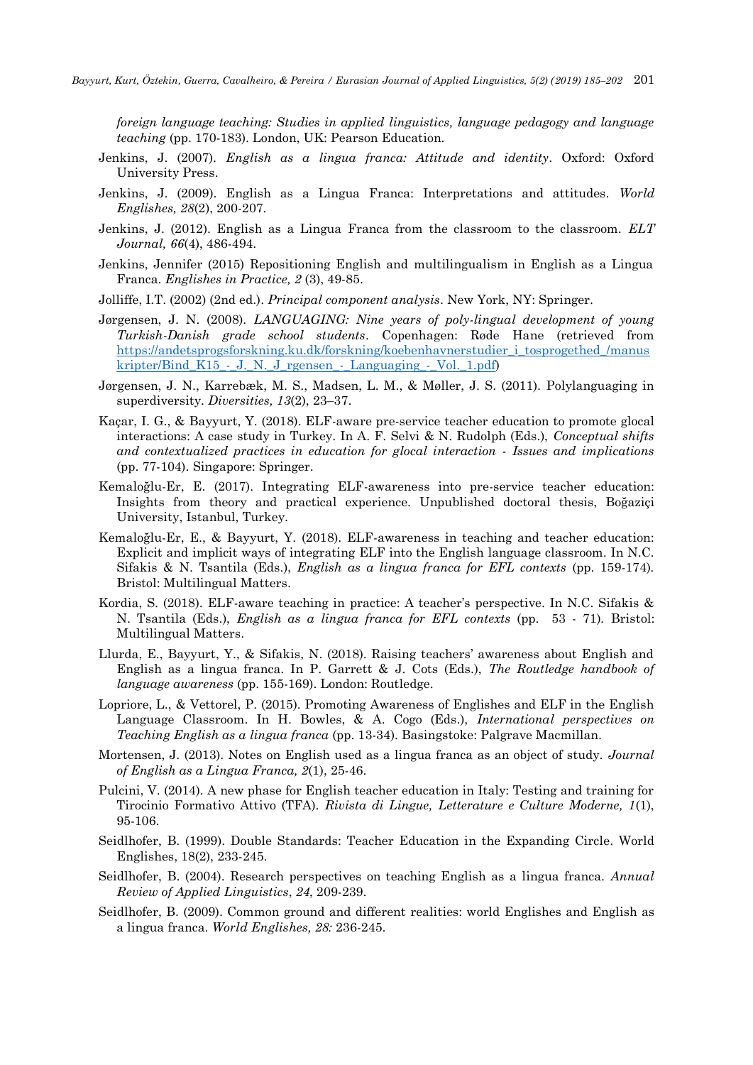*foreign language teaching: Studies in applied linguistics, language pedagogy and language teaching* (pp. 170-183). London, UK: Pearson Education.

- Jenkins, J. (2007). *English as a lingua franca: Attitude and identity*. Oxford: Oxford University Press.
- Jenkins, J. (2009). English as a Lingua Franca: Interpretations and attitudes. *World Englishes, 28*(2), 200-207.
- Jenkins, J. (2012). English as a Lingua Franca from the classroom to the classroom. *ELT Journal, 66*(4), 486-494.
- Jenkins, Jennifer (2015) Repositioning English and multilingualism in English as a Lingua Franca. *Englishes in Practice, 2* (3), 49-85.
- Jolliffe, I.T. (2002) (2nd ed.). *Principal component analysis*. New York, NY: Springer.
- Jørgensen, J. N. (2008). *LANGUAGING: Nine years of poly-lingual development of young Turkish-Danish grade school students*. Copenhagen: Røde Hane (retrieved from [https://andetsprogsforskning.ku.dk/forskning/koebenhavnerstudier\\_i\\_tosprogethed\\_/manus](https://andetsprogsforskning.ku.dk/forskning/koebenhavnerstudier_i_tosprogethed_/manuskripter/Bind_K15_-_J._N._J_rgensen_-_Languaging_-_Vol._1.pdf) kripter/Bind K15 - J. N. J rgensen - Languaging - Vol. 1.pdf)
- Jørgensen, J. N., Karrebæk, M. S., Madsen, L. M., & Møller, J. S. (2011). Polylanguaging in superdiversity. *Diversities, 13*(2), 23–37.
- Kaçar, I. G., & Bayyurt, Y. (2018). ELF-aware pre-service teacher education to promote glocal interactions: A case study in Turkey. In A. F. Selvi & N. Rudolph (Eds.), *Conceptual shifts and contextualized practices in education for glocal interaction - Issues and implications* (pp. 77-104). Singapore: Springer.
- Kemaloğlu-Er, E. (2017). Integrating ELF-awareness into pre-service teacher education: Insights from theory and practical experience. Unpublished doctoral thesis, Boğaziçi University, Istanbul, Turkey.
- Kemaloğlu-Er, E., & Bayyurt, Y. (2018). ELF-awareness in teaching and teacher education: Explicit and implicit ways of integrating ELF into the English language classroom. In N.C. Sifakis & N. Tsantila (Eds.), *English as a lingua franca for EFL contexts* (pp. 159-174)*.* Bristol: Multilingual Matters.
- Kordia, S. (2018). ELF-aware teaching in practice: A teacher's perspective. In N.C. Sifakis & N. Tsantila (Eds.), *English as a lingua franca for EFL contexts* (pp. 53 - 71)*.* Bristol: Multilingual Matters.
- Llurda, E., Bayyurt, Y., & Sifakis, N. (2018). Raising teachers' awareness about English and English as a lingua franca. In P. Garrett & J. Cots (Eds.), *The Routledge handbook of language awareness* (pp. 155-169). London: Routledge.
- Lopriore, L., & Vettorel, P. (2015). Promoting Awareness of Englishes and ELF in the English Language Classroom. In H. Bowles, & A. Cogo (Eds.), *International perspectives on Teaching English as a lingua franca* (pp. 13-34). Basingstoke: Palgrave Macmillan.
- Mortensen, J. (2013). Notes on English used as a lingua franca as an object of study. *Journal of English as a Lingua Franca, 2*(1), 25-46.
- Pulcini, V. (2014). A new phase for English teacher education in Italy: Testing and training for Tirocinio Formativo Attivo (TFA). *Rivista di Lingue, Letterature e Culture Moderne, 1*(1), 95-106.
- Seidlhofer, B. (1999). Double Standards: Teacher Education in the Expanding Circle. World Englishes, 18(2), 233-245.
- Seidlhofer, B. (2004). Research perspectives on teaching English as a lingua franca. *Annual Review of Applied Linguistics*, *24*, 209-239.
- Seidlhofer, B. (2009). Common ground and different realities: world Englishes and English as a lingua franca. *World Englishes, 28:* 236-245.